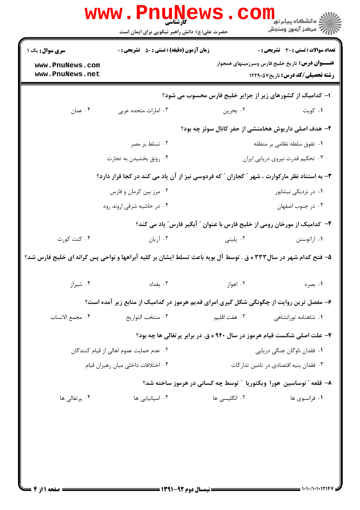| <b>سری سوال :</b> یک ۱                                                                                         | <b>زمان آزمون (دقیقه) : تستی : 50 ٪ تشریحی : 0</b>                       |                      | <b>تعداد سوالات : تستي : 30 ٪ تشريحي : 0</b>                                                       |  |
|----------------------------------------------------------------------------------------------------------------|--------------------------------------------------------------------------|----------------------|----------------------------------------------------------------------------------------------------|--|
| www.PnuNews.com<br>www.PnuNews.net                                                                             |                                                                          |                      | <b>عنـــوان درس:</b> تاریخ خلیج فارس وسرزمینهای همجوار<br><b>رشته تحصیلی/کد درس: تاریخ ۱۲۲۹۰۵۷</b> |  |
|                                                                                                                |                                                                          |                      | ا– کدامیک از کشورهای زیر از جزایر خلیج فارس محسوب می شود؟                                          |  |
| ۰۴ عمان                                                                                                        | ۰۳ امارات متحده عربی                                                     | ۰۲ بحرين             | ۰۱ کويت                                                                                            |  |
|                                                                                                                |                                                                          |                      | ۲- هدف اصلی داریوش هخامنشی از حفر کانال سوئز چه بود؟                                               |  |
|                                                                                                                | ۰۲ تسلط بر مصر                                                           |                      | ٠١ تفوق سلطه نظامي بر منطقه                                                                        |  |
|                                                                                                                | ۰۴ رونق بخشیدن به تجارت                                                  |                      | ۰۳ تحکیم قدرت نیروی دریایی ایران                                                                   |  |
| ۳- به استناد نظر مارکوارت ، شهر ″ کجاران ″ که فردوسی نیز از آن یاد می کند در کجا قرار دارد؟                    |                                                                          |                      |                                                                                                    |  |
|                                                                                                                | ۰۲ مرز بین کرمان و فارس                                                  | ۰۱ در نزدیکی نیشابور |                                                                                                    |  |
|                                                                                                                | ۰۴ در حاشیه شرقی اروند رود                                               |                      | ۰۳ در جنوب اصفهان                                                                                  |  |
|                                                                                                                | ۴- کدامیک از مورخان رومی از خلیج فارس با عنوان ″ آبگیر فارس″ یاد می کند؟ |                      |                                                                                                    |  |
| ۰۴ کنت کورث                                                                                                    | ۰۳ آریان                                                                 | ۰۲ پلینی             | ۰۱ اراتوستن                                                                                        |  |
| ۵– فتح کدام شهر در سال۳۳۳ ه ق . توسط آل بویه باعث تسلط ایشان بر کلیه آبراهها و نواحی پس کرانه ای خلیج فارس شد؟ |                                                                          |                      |                                                                                                    |  |
| ۰۴ شیراز                                                                                                       | ۰۳ بغداد                                                                 | ۰۲ اهواز             | ۰۱ بصره                                                                                            |  |
| ۶- مفصل ترین روایت از چگونگی شکل گیری امرای قدیم هرموز در کدامیک از منابع زیر آمده است؟                        |                                                                          |                      |                                                                                                    |  |
| ۰۴ مجمع الانساب                                                                                                | ۰۳ منتخب التواريخ                                                        | ۰۲ هفت اقلیم         | ۰۱ شاهنامه تورانشاهی                                                                               |  |
|                                                                                                                | ۷- علت اصلی شکست قیام هرموز در سال ۹۴۰ ه ق. در برابر پرتغالی ها چه بود؟  |                      |                                                                                                    |  |
|                                                                                                                | ۰۲ عدم حمایت عموم اهالی از قیام کنندگان                                  |                      | ۰۱ فقدان ناوگان جنگی دریایی                                                                        |  |
| ۰۴ اختلافات داخلی میان رهبران قیام                                                                             |                                                                          |                      | ۰۳ فقدان بنیه اقتصادی در تامین تدارکات                                                             |  |
|                                                                                                                | ۸– قلعه " نوساسین هورا ویکتوریا " توسط چه کسانی در هرموز ساخته شد؟       |                      |                                                                                                    |  |
| ۰۴ پرتغال <sub>ی</sub> ها                                                                                      | ۰۳ اسپانیایی ها                                                          | ۰۲ انگلیسی ها        | ۰۱ فرانسوی ها                                                                                      |  |
|                                                                                                                |                                                                          |                      |                                                                                                    |  |
|                                                                                                                |                                                                          |                      |                                                                                                    |  |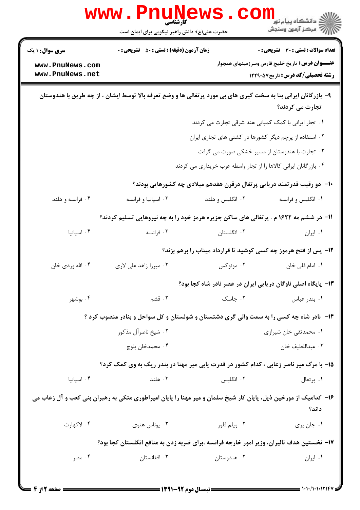|                                                                                                                                    | <b>WWW.Pnugge</b><br>حضرت علی(ع): دانش راهبر نیکویی برای ایمان است                      |                  | ري دانشڪاء پيا <sub>م</sub> نور<br>اڳ مرڪز آزمون وسنجش                                            |  |  |
|------------------------------------------------------------------------------------------------------------------------------------|-----------------------------------------------------------------------------------------|------------------|---------------------------------------------------------------------------------------------------|--|--|
| <b>سری سوال :</b> ۱ یک                                                                                                             | <b>زمان آزمون (دقیقه) : تستی : 50 ٪ تشریحی : 0</b>                                      |                  | <b>تعداد سوالات : تستی : 30 ٪ تشریحی : 0</b>                                                      |  |  |
| www.PnuNews.com<br>www.PnuNews.net                                                                                                 |                                                                                         |                  | <b>عنـــوان درس:</b> تاریخ خلیج فارس وسرزمینهای همجوار<br><b>رشته تحصیلی/کد درس:</b> تاریخ1۲۲۹۰۵۷ |  |  |
| ۹- بازرگانان ایرانی بنا به سخت گیری های بی مورد پرتغالی ها و وضع تعرفه بالا توسط ایشان ، از چه طریق با هندوستان<br>تجارت می کردند؟ |                                                                                         |                  |                                                                                                   |  |  |
|                                                                                                                                    |                                                                                         |                  | 1. تجار ایرانی با کمک کمپانی هند شرقی تجارت می کردند                                              |  |  |
|                                                                                                                                    |                                                                                         |                  | ۰۲ استفاده از پرچم دیگر کشورها در کشتی های تجاری ایران                                            |  |  |
|                                                                                                                                    | ۰۳ تجارت با هندوستان از مسیر خشکی صورت می گرفت                                          |                  |                                                                                                   |  |  |
|                                                                                                                                    | ۰۴ بازرگانان ایرانی کالاها را از تجار واسطه عرب خریداری می کردند                        |                  |                                                                                                   |  |  |
|                                                                                                                                    | ∙ا− دو رقیب قدرتمند دریایی پرتغال درقرن هفدهم میلادی چه کشورهایی بودند؟                 |                  |                                                                                                   |  |  |
| ۰۴ فرانسه و هلند                                                                                                                   | ۰۳ اسپانیا و فرانسه                                                                     | ۰۲ انگلیس و هلند | ۰۱ انگلیس و فرانسه                                                                                |  |  |
| 11- در ششم مه ۱۶۲۲ م . پرتغالی های ساکن جزیره هرمز خود را به چه نیروهایی تسلیم کردند؟                                              |                                                                                         |                  |                                                                                                   |  |  |
| ۰۴ اسپانیا                                                                                                                         | ۰۳ فرانسه                                                                               | ۰۲ انگلستان      | ۰۱ ایران                                                                                          |  |  |
|                                                                                                                                    |                                                                                         |                  | ۱۲- پس از فتح هرموز چه کسی کوشید تا قرارداد میناب را برهم بزند؟                                   |  |  |
| ۰۴ الله وردي خان                                                                                                                   | ۰۳ میرزا زاهد علی لاری                                                                  | ۰۲ مونوکس        | ٠١. امام قلي خان                                                                                  |  |  |
|                                                                                                                                    |                                                                                         |                  | ۱۳- پایگاه اصلی ناوگان دریایی ایران در عصر نادر شاه کجا بود؟                                      |  |  |
| ۰۴ بوشهر                                                                                                                           | ۰۳ قشم                                                                                  | ۰۲ جاسک          | ۰۱ بندر عباس                                                                                      |  |  |
|                                                                                                                                    | ۱۴- نادر شاه چه کسی را به سمت والی گری دشتستان و شولستان و کل سواحل و بنادر منصوب کرد ؟ |                  |                                                                                                   |  |  |
|                                                                                                                                    | ۰۲ شیخ ناصرآل مذکور                                                                     |                  | ۰۱ محمدتقی خان شیرازی                                                                             |  |  |
|                                                                                                                                    | ۰۴ محمدخان بلوچ                                                                         |                  | ۰۳ عبداللطيف خان                                                                                  |  |  |
|                                                                                                                                    | ۱۵- با مرگ میر ناصر زعابی ، کدام کشور در قدرت یابی میر مهنا در بندر ریگ به وی کمک کرد؟  |                  |                                                                                                   |  |  |
| ۰۴ اسیانیا                                                                                                                         | ۰۳ هلند                                                                                 | ۰۲ انگلیس        | ۰۱ پرتغال                                                                                         |  |  |
| ۱۶– کدامیک از مورخین ذیل، پایان کار شیخ سلمان و میر مهنا را پایان امپراطوری متکی به رهبران بنی کعب و آل زعاب می<br>داند؟           |                                                                                         |                  |                                                                                                   |  |  |
| ۰۴ لاکهارت                                                                                                                         | ۰۳ يوناس هنوي                                                                           | ۰۲ ویلم فلور     | ۰۱ جان پري                                                                                        |  |  |
| ۱۷– نخستین هدف تالیران، وزیر امور خارجه فرانسه ،برای ضربه زدن به منافع انگلستان کجا بود؟                                           |                                                                                         |                  |                                                                                                   |  |  |
| ۰۴ مصر                                                                                                                             | ۰۳ افغانستان                                                                            | ۰۲ هندوستان      | ۰۱ ایران                                                                                          |  |  |
|                                                                                                                                    |                                                                                         |                  |                                                                                                   |  |  |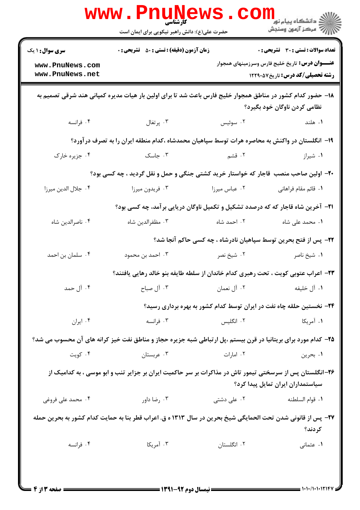|                                                                                                                                              | WWW.Pnung<br>حضرت علی(ع): دانش راهبر نیکویی برای ایمان است                                                    |               | رد دانشکاه پيام نور ■<br>ار <i>در دن آزمون وسنجش</i>                                              |  |
|----------------------------------------------------------------------------------------------------------------------------------------------|---------------------------------------------------------------------------------------------------------------|---------------|---------------------------------------------------------------------------------------------------|--|
| <b>سری سوال : ۱ یک</b>                                                                                                                       | <b>زمان آزمون (دقیقه) : تستی : 50 ٪ تشریحی : 0</b>                                                            |               | تعداد سوالات : تستى : 30 قشريحى : 0                                                               |  |
| www.PnuNews.com<br>www.PnuNews.net                                                                                                           |                                                                                                               |               | <b>عنـــوان درس:</b> تاریخ خلیج فارس وسرزمینهای همجوار<br><b>رشته تحصیلی/کد درس:</b> تاریخ1۲۲۹۰۵۷ |  |
| ۱۸– حضور کدام کشور در مناطق همجوار خلیج فارس باعث شد تا برای اولین بار هیات مدیره کمپانی هند شرقی تصمیم به<br>نظامی کردن ناوگان خود بگیرد؟   |                                                                                                               |               |                                                                                                   |  |
| ۰۴ فرانسه                                                                                                                                    | ۰۳ پرتغال                                                                                                     | ۰۲ سوئیس      | ۰۱ هلند                                                                                           |  |
|                                                                                                                                              | ۱۹– انگلستان در واکنش به محاصره هرات توسط سپاهیان محمدشاه ،کدام منطقه ایران را به تصرف درآورد؟                |               |                                                                                                   |  |
| ۰۴ جزیره خارک                                                                                                                                | ۰۳ جاسک                                                                                                       | ۲. قشم        | ۰۱ شیراز                                                                                          |  |
|                                                                                                                                              | ۲۰- اولین صاحب منصب قاجار که خواستار خرید کشتی جنگی و حمل و نقل گردید ، چه کسی بود؟                           |               |                                                                                                   |  |
| ۰۴ جلال الدين ميرزا                                                                                                                          | ۰۳ فريدون ميرزا                                                                                               | ۰۲ عباس میرزا | ٠١. قائم مقام فراهاني                                                                             |  |
|                                                                                                                                              | <b>۲۱</b> - آخرین شاه قاجار که که درصدد تشکیل و تکمیل ناوگان دریایی برآمد، چه کسی بود؟                        |               |                                                                                                   |  |
| ۰۴ ناصرالدين شاه                                                                                                                             | ۰۳ مظفرالدين شاه                                                                                              | ۰۲ احمد شاه   | ۰۱ محمد علی شاه                                                                                   |  |
|                                                                                                                                              |                                                                                                               |               | ۲۲- پس از فتح بحرین توسط سپاهیان نادرشاه ، چه کسی حاکم آنجا شد؟                                   |  |
| ۰۴ سلمان بن احمد                                                                                                                             | ۰۳ احمد بن محمود                                                                                              | ۰۲ شيخ نصر    | ۰۱ شیخ ناصر                                                                                       |  |
|                                                                                                                                              | ۲۳- اعراب عتوبی کویت ، تحت رهبری کدام خاندان از سلطه طایفه بنو خالد رهایی یافتند؟                             |               |                                                                                                   |  |
| ۰۴ آل حمد                                                                                                                                    | ۰۳ آل صباح                                                                                                    | ۰۲ آل نعمان   | ٠١. آل خليفه                                                                                      |  |
|                                                                                                                                              |                                                                                                               |               | ۲۴- نخستین حلقه چاه نفت در ایران توسط کدام کشور به بهره برداری رسید؟                              |  |
| ۰۴ ایران                                                                                                                                     | ۰۳ فرانسه                                                                                                     | ۰۲ انگلیس     | ۰۱ آمریکا                                                                                         |  |
|                                                                                                                                              | ۲۵- کدام مورد برای بریتانیا در قرن بیستم ،پل ارتباطی شبه جزیره حجاز و مناطق نفت خیز کرانه های آن محسوب می شد؟ |               |                                                                                                   |  |
| ۰۴ کويت                                                                                                                                      | ۰۳ عربستان                                                                                                    | ۰۲ امارات     | ۰۱ بحرين                                                                                          |  |
| ۲۶–انگلستان پس از سرسختی تیمور تاش در مذاکرات بر سر حاکمیت ایران بر جزایر تنب و ابو موسی ، به کدامیک از<br>سیاستمداران ایران تمایل پیدا کرد؟ |                                                                                                               |               |                                                                                                   |  |
| ۰۴ محمد علی فروغی                                                                                                                            | ۰۳ رضا داور                                                                                                   | ۰۲ علی دشتی   | ٠١ قوام السلطنه                                                                                   |  |
| ٢٧- پس از قانونی شدن تحت الحمایگی شیخ بحرین در سال ١٣١٣ ه ق. اعراب قطر بنا به حمایت کدام کشور به بحرین حمله<br>کردند؟                        |                                                                                                               |               |                                                                                                   |  |
| ۰۴ فرانسه                                                                                                                                    | ۰۳ آمریکا                                                                                                     | ٠٢ انگلستان   | ۰۱ عثمانی                                                                                         |  |
|                                                                                                                                              |                                                                                                               |               |                                                                                                   |  |